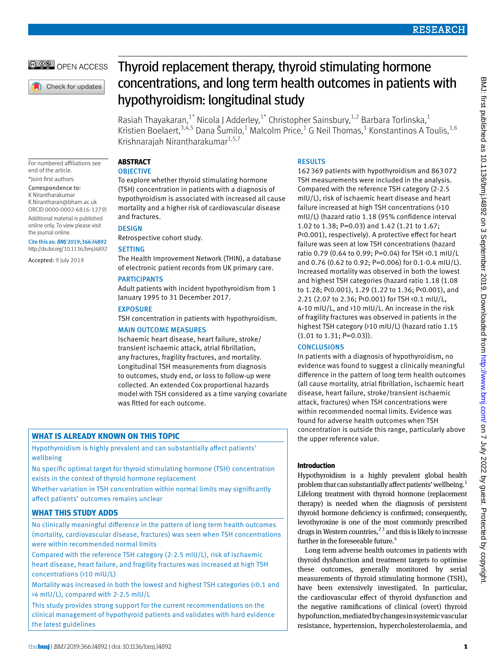# **RESEARCH**

# **@ 00 OPEN ACCESS**

Check for updates

# Thyroid replacement therapy, thyroid stimulating hormone concentrations, and long term health outcomes in patients with hypothyroidism: longitudinal study

Rasiah Thayakaran,<sup>1\*</sup> Nicola J Adderley,<sup>1\*</sup> Christopher Sainsbury,<sup>1,2</sup> Barbara Torlinska,<sup>1</sup> Kristien Boelaert,  $^{3,4,5}$  Dana Šumilo, 1 Malcolm Price, 1 G Neil Thomas, 1 Konstantinos A Toulis,  $^{1,6}$ Krishnarajah Nirantharakumar<sup>1,5,7</sup>

For numbered affiliations see end of the article. \*Joint first authors

Correspondence to: K Nirantharakumar [K.Nirantharan@bham.ac.uk](mailto:K.Nirantharan@bham.ac.uk) orcid [0000-0002-6816-1279](https://orcid.org/0000-0002-6816-1279)) Additional material is published online only. To view please visit the journal online.

Cite this as: *BMJ* 2019;366:l4892 http://dx.doi.org/10.1136/bmj.l4892

Accepted: 9 July 2019

# **Abstract**

#### **OBJECTIVE**

To explore whether thyroid stimulating hormone (TSH) concentration in patients with a diagnosis of hypothyroidism is associated with increased all cause mortality and a higher risk of cardiovascular disease and fractures.

### **DESIGN**

Retrospective cohort study.

# **SETTING**

The Health Improvement Network (THIN), a database of electronic patient records from UK primary care.

### **PARTICIPANTS**

Adult patients with incident hypothyroidism from 1 January 1995 to 31 December 2017.

# **EXPOSURE**

TSH concentration in patients with hypothyroidism.

## Main outcome measures

Ischaemic heart disease, heart failure, stroke/ transient ischaemic attack, atrial fibrillation, any fractures, fragility fractures, and mortality. Longitudinal TSH measurements from diagnosis to outcomes, study end, or loss to follow-up were collected. An extended Cox proportional hazards model with TSH considered as a time varying covariate was fitted for each outcome.

# **What is already known on this topic**

Hypothyroidism is highly prevalent and can substantially affect patients' wellbeing

No specific optimal target for thyroid stimulating hormone (TSH) concentration exists in the context of thyroid hormone replacement

Whether variation in TSH concentration within normal limits may significantly affect patients' outcomes remains unclear

# **What this study adds**

No clinically meaningful difference in the pattern of long term health outcomes (mortality, cardiovascular disease, fractures) was seen when TSH concentrations were within recommended normal limits

Compared with the reference TSH category (2-2.5 mIU/L), risk of ischaemic heart disease, heart failure, and fragility fractures was increased at high TSH concentrations (>10 mIU/L)

Mortality was increased in both the lowest and highest TSH categories (<0.1 and >4 mIU/L), compared with 2-2.5 mIU/L

This study provides strong support for the current recommendations on the clinical management of hypothyroid patients and validates with hard evidence the latest guidelines

# **RESULTS**

162369 patients with hypothyroidism and 863072 TSH measurements were included in the analysis. Compared with the reference TSH category (2-2.5 mIU/L), risk of ischaemic heart disease and heart failure increased at high TSH concentrations (>10 mIU/L) (hazard ratio 1.18 (95% confidence interval 1.02 to 1.38; P=0.03) and 1.42 (1.21 to 1.67; P<0.001), respectively). A protective effect for heart failure was seen at low TSH concentrations (hazard ratio 0.79 (0.64 to 0.99; P=0.04) for TSH <0.1 mIU/L and 0.76 (0.62 to 0.92; P=0.006) for 0.1-0.4 mIU/L). Increased mortality was observed in both the lowest and highest TSH categories (hazard ratio 1.18 (1.08 to 1.28; P<0.001), 1.29 (1.22 to 1.36; P<0.001), and 2.21 (2.07 to 2.36; P<0.001) for TSH <0.1 mIU/L, 4-10 mIU/L, and >10 mIU/L. An increase in the risk of fragility fractures was observed in patients in the highest TSH category (>10 mIU/L) (hazard ratio 1.15  $(1.01 \text{ to } 1.31; P=0.03)$ ).

### **CONCLUSIONS**

In patients with a diagnosis of hypothyroidism, no evidence was found to suggest a clinically meaningful difference in the pattern of long term health outcomes (all cause mortality, atrial fibrillation, ischaemic heart disease, heart failure, stroke/transient ischaemic attack, fractures) when TSH concentrations were within recommended normal limits. Evidence was found for adverse health outcomes when TSH concentration is outside this range, particularly above the upper reference value.

# **Introduction**

Hypothyroidism is a highly prevalent global health problem that can substantially affect patients' wellbeing.<sup>1</sup> Lifelong treatment with thyroid hormone (replacement therapy) is needed when the diagnosis of persistent thyroid hormone deficiency is confirmed; consequently, levothyroxine is one of the most commonly prescribed drugs in Western countries,<sup>23</sup> and this is likely to increase further in the foreseeable future.<sup>4</sup>

Long term adverse health outcomes in patients with thyroid dysfunction and treatment targets to optimise these outcomes, generally monitored by serial measurements of thyroid stimulating hormone (TSH), have been extensively investigated. In particular, the cardiovascular effect of thyroid dysfunction and the negative ramifications of clinical (overt) thyroid hypofunction, mediated by changes in systemic vascular resistance, hypertension, hypercholesterolaemia, and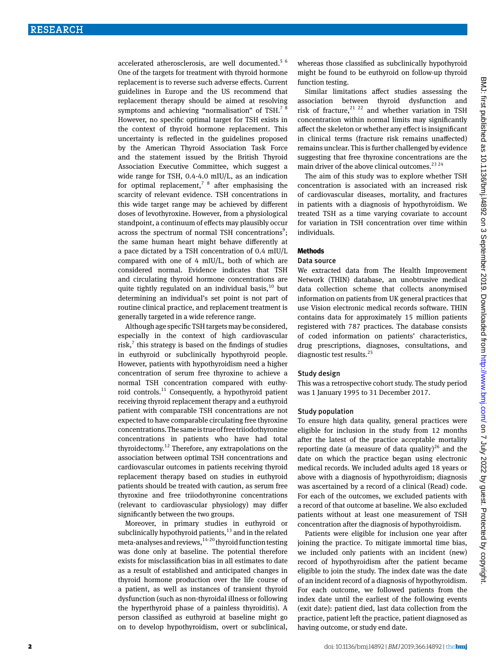accelerated atherosclerosis, are well documented.<sup>5 6</sup> One of the targets for treatment with thyroid hormone replacement is to reverse such adverse effects. Current guidelines in Europe and the US recommend that replacement therapy should be aimed at resolving symptoms and achieving "normalisation" of TSH. $78$ However, no specific optimal target for TSH exists in the context of thyroid hormone replacement. This uncertainty is reflected in the guidelines proposed by the American Thyroid Association Task Force and the statement issued by the British Thyroid Association Executive Committee, which suggest a wide range for TSH, 0.4-4.0 mIU/L, as an indication for optimal replacement,<sup>7 8</sup> after emphasising the scarcity of relevant evidence. TSH concentrations in this wide target range may be achieved by different doses of levothyroxine. However, from a physiological standpoint, a continuum of effects may plausibly occur across the spectrum of normal TSH concentrations<sup>9</sup>; the same human heart might behave differently at a pace dictated by a TSH concentration of 0.4 mIU/L compared with one of 4 mIU/L, both of which are considered normal. Evidence indicates that TSH and circulating thyroid hormone concentrations are quite tightly regulated on an individual basis, $10$  but determining an individual's set point is not part of routine clinical practice, and replacement treatment is generally targeted in a wide reference range.

Although age specific TSH targets may be considered, especially in the context of high cardiovascular risk, $^7$  this strategy is based on the findings of studies in euthyroid or subclinically hypothyroid people. However, patients with hypothyroidism need a higher concentration of serum free thyroxine to achieve a normal TSH concentration compared with euthyroid controls.11 Consequently, a hypothyroid patient receiving thyroid replacement therapy and a euthyroid patient with comparable TSH concentrations are not expected to have comparable circulating free thyroxine concentrations. The same is true of free triiodothyronine concentrations in patients who have had total thyroidectomy.12 Therefore, any extrapolations on the association between optimal TSH concentrations and cardiovascular outcomes in patients receiving thyroid replacement therapy based on studies in euthyroid patients should be treated with caution, as serum free thyroxine and free triiodothyronine concentrations (relevant to cardiovascular physiology) may differ significantly between the two groups.

Moreover, in primary studies in euthyroid or subclinically hypothyroid patients, $13$  and in the related meta-analyses and reviews,  $^{14\text{-}20}$  thyroid function testing was done only at baseline. The potential therefore exists for misclassification bias in all estimates to date as a result of established and anticipated changes in thyroid hormone production over the life course of a patient, as well as instances of transient thyroid dysfunction (such as non-thyroidal illness or following the hyperthyroid phase of a painless thyroiditis). A person classified as euthyroid at baseline might go on to develop hypothyroidism, overt or subclinical, whereas those classified as subclinically hypothyroid might be found to be euthyroid on follow-up thyroid function testing.

Similar limitations affect studies assessing the association between thyroid dysfunction and risk of fracture,  $21 \frac{22}{2}$  and whether variation in TSH concentration within normal limits may significantly affect the skeleton or whether any effect is insignificant in clinical terms (fracture risk remains unaffected) remains unclear. This is further challenged by evidence suggesting that free thyroxine concentrations are the main driver of the above clinical outcomes.<sup>23 24</sup>

The aim of this study was to explore whether TSH concentration is associated with an increased risk of cardiovascular diseases, mortality, and fractures in patients with a diagnosis of hypothyroidism. We treated TSH as a time varying covariate to account for variation in TSH concentration over time within individuals.

#### **Methods**

#### Data source

We extracted data from The Health Improvement Network (THIN) database, an unobtrusive medical data collection scheme that collects anonymised information on patients from UK general practices that use Vision electronic medical records software. THIN contains data for approximately 15 million patients registered with 787 practices. The database consists of coded information on patients' characteristics, drug prescriptions, diagnoses, consultations, and diagnostic test results. $25$ 

#### Study design

This was a retrospective cohort study. The study period was 1 January 1995 to 31 December 2017.

#### Study population

To ensure high data quality, general practices were eligible for inclusion in the study from 12 months after the latest of the practice acceptable mortality reporting date (a measure of data quality)<sup>26</sup> and the date on which the practice began using electronic medical records. We included adults aged 18 years or above with a diagnosis of hypothyroidism; diagnosis was ascertained by a record of a clinical (Read) code. For each of the outcomes, we excluded patients with a record of that outcome at baseline. We also excluded patients without at least one measurement of TSH concentration after the diagnosis of hypothyroidism.

Patients were eligible for inclusion one year after joining the practice. To mitigate immortal time bias, we included only patients with an incident (new) record of hypothyroidism after the patient became eligible to join the study. The index date was the date of an incident record of a diagnosis of hypothyroidism. For each outcome, we followed patients from the index date until the earliest of the following events (exit date): patient died, last data collection from the practice, patient left the practice, patient diagnosed as having outcome, or study end date.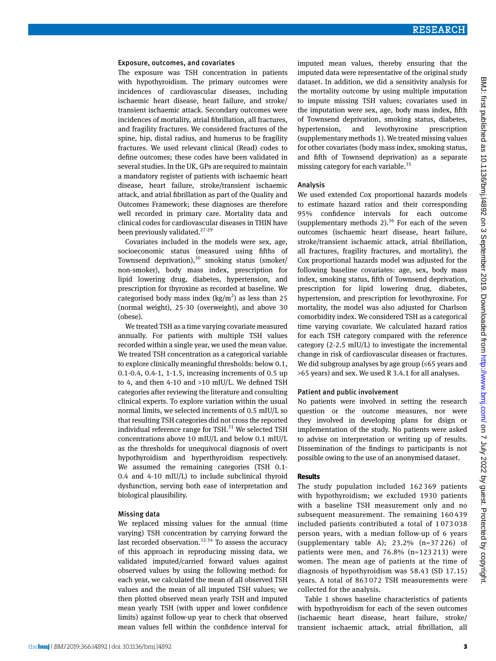#### Exposure, outcomes, and covariates

The exposure was TSH concentration in patients with hypothyroidism. The primary outcomes were incidences of cardiovascular diseases, including ischaemic heart disease, heart failure, and stroke/ transient ischaemic attack. Secondary outcomes were incidences of mortality, atrial fibrillation, all fractures, and fragility fractures. We considered fractures of the spine, hip, distal radius, and humerus to be fragility fractures. We used relevant clinical (Read) codes to define outcomes; these codes have been validated in several studies. In the UK, GPs are required to maintain a mandatory register of patients with ischaemic heart disease, heart failure, stroke/transient ischaemic attack, and atrial fibrillation as part of the Quality and Outcomes Framework; these diagnoses are therefore well recorded in primary care. Mortality data and clinical codes for cardiovascular diseases in THIN have been previously validated.<sup>27-29</sup>

Covariates included in the models were sex, age, socioeconomic status (measured using fifths of Townsend deprivation), $30$  smoking status (smoker/ non-smoker), body mass index, prescription for lipid lowering drug, diabetes, hypertension, and prescription for thyroxine as recorded at baseline. We categorised body mass index  $(kg/m<sup>2</sup>)$  as less than 25 (normal weight), 25-30 (overweight), and above 30 (obese).

We treated TSH as a time varying covariate measured annually. For patients with multiple TSH values recorded within a single year, we used the mean value. We treated TSH concentration as a categorical variable to explore clinically meaningful thresholds: below 0.1, 0.1-0.4, 0.4-1, 1-1.5, increasing increments of 0.5 up to 4, and then 4-10 and >10 mIU/L. We defined TSH categories after reviewing the literature and consulting clinical experts. To explore variation within the usual normal limits, we selected increments of 0.5 mIU/L so that resulting TSH categories did not cross the reported individual reference range for  $TSH$ , <sup>31</sup> We selected TSH concentrations above 10 mIU/L and below 0.1 mIU/L as the thresholds for unequivocal diagnosis of overt hypothyroidism and hyperthyroidism respectively. We assumed the remaining categories (TSH 0.1- 0.4 and 4-10 mIU/L) to include subclinical thyroid dysfunction, serving both ease of interpretation and biological plausibility.

#### Missing data

We replaced missing values for the annual (time varying) TSH concentration by carrying forward the last recorded observation. $32-34$  To assess the accuracy of this approach in reproducing missing data, we validated imputed/carried forward values against observed values by using the following method: for each year, we calculated the mean of all observed TSH values and the mean of all imputed TSH values; we then plotted observed mean yearly TSH and imputed mean yearly TSH (with upper and lower confidence limits) against follow-up year to check that observed mean values fell within the confidence interval for

imputed mean values, thereby ensuring that the imputed data were representative of the original study dataset. In addition, we did a sensitivity analysis for the mortality outcome by using multiple imputation to impute missing TSH values; covariates used in the imputation were sex, age, body mass index, fifth of Townsend deprivation, smoking status, diabetes, hypertension, and levothyroxine prescription (supplementary methods 1). We treated missing values for other covariates (body mass index, smoking status, and fifth of Townsend deprivation) as a separate missing category for each variable.<sup>35</sup>

#### Analysis

We used extended Cox proportional hazards models to estimate hazard ratios and their corresponding 95% confidence intervals for each outcome (supplementary methods  $2$ ).<sup>36</sup> For each of the seven outcomes (ischaemic heart disease, heart failure, stroke/transient ischaemic attack, atrial fibrillation, all fractures, fragility fractures, and mortality), the Cox proportional hazards model was adjusted for the following baseline covariates: age, sex, body mass index, smoking status, fifth of Townsend deprivation, prescription for lipid lowering drug, diabetes, hypertension, and prescription for levothyroxine. For mortality, the model was also adjusted for Charlson comorbidity index. We considered TSH as a categorical time varying covariate. We calculated hazard ratios for each TSH category compared with the reference category (2-2.5 mIU/L) to investigate the incremental change in risk of cardiovascular diseases or fractures. We did subgroup analyses by age group (≤65 years and >65 years) and sex. We used R 3.4.1 for all analyses.

#### Patient and public involvement

No patients were involved in setting the research question or the outcome measures, nor were they involved in developing plans for dsign or implementation of the study. No patients were asked to advise on interpretation or writing up of results. Dissemination of the findings to participants is not possible owing to the use of an anonymised dataset.

#### **Results**

The study population included 162 369 patients with hypothyroidism; we excluded 1930 patients with a baseline TSH measurement only and no subsequent measurement. The remaining 160 439 included patients contributed a total of 1 073 038 person years, with a median follow-up of 6 years (supplementary table A); 23.2% (n=37 226) of patients were men, and 76.8% (n=123 213) were women. The mean age of patients at the time of diagnosis of hypothyroidism was 58.43 (SD 17.15) years. A total of 863 072 TSH measurements were collected for the analysis.

Table 1 shows baseline characteristics of patients with hypothyroidism for each of the seven outcomes (ischaemic heart disease, heart failure, stroke/ transient ischaemic attack, atrial fibrillation, all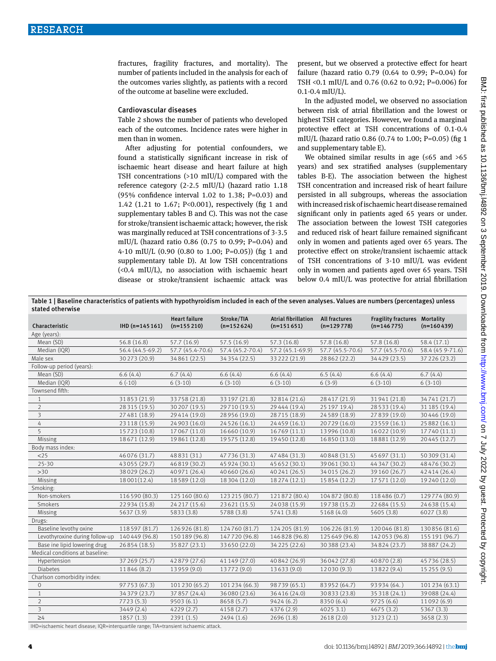fractures, fragility fractures, and mortality). The number of patients included in the analysis for each of the outcomes varies slightly, as patients with a record of the outcome at baseline were excluded.

#### Cardiovascular diseases

Table 2 shows the number of patients who developed each of the outcomes. Incidence rates were higher in men than in women.

After adjusting for potential confounders, we found a statistically significant increase in risk of ischaemic heart disease and heart failure at high TSH concentrations (>10 mIU/L) compared with the reference category (2-2.5 mIU/L) (hazard ratio 1.18 (95% confidence interval 1.02 to 1.38; P=0.03) and 1.42 (1.21 to 1.67; P<0.001), respectively (fig 1 and supplementary tables B and C). This was not the case for stroke/transient ischaemic attack; however, the risk was marginally reduced at TSH concentrations of 3-3.5 mIU/L (hazard ratio 0.86 (0.75 to 0.99; P=0.04) and 4-10 mIU/L (0.90 (0.80 to 1.00; P=0.05)) (fig 1 and supplementary table D). At low TSH concentrations (<0.4 mIU/L), no association with ischaemic heart disease or stroke/transient ischaemic attack was

present, but we observed a protective effect for heart failure (hazard ratio  $0.79$  (0.64 to  $0.99$ ; P=0.04) for TSH <0.1 mIU/L and 0.76 (0.62 to 0.92; P=0.006) for 0.1-0.4 mIU/L).

In the adjusted model, we observed no association between risk of atrial fibrillation and the lowest or highest TSH categories. However, we found a marginal protective effect at TSH concentrations of 0.1-0.4 mIU/L (hazard ratio 0.86 (0.74 to 1.00; P=0.05) (fig 1 and supplementary table E).

We obtained similar results in age  $(≤65$  and >65 years) and sex stratified analyses (supplementary tables B-E). The association between the highest TSH concentration and increased risk of heart failure persisted in all subgroups, whereas the association with increased risk of ischaemic heart disease remained significant only in patients aged 65 years or under. The association between the lowest TSH categories and reduced risk of heart failure remained significant only in women and patients aged over 65 years. The protective effect on stroke/transient ischaemic attack of TSH concentrations of 3-10 mIU/L was evident only in women and patients aged over 65 years. TSH below 0.4 mIU/L was protective for atrial fibrillation

Table 1 | Baseline characteristics of patients with hypothyroidism included in each of the seven analyses. Values are numbers (percentages) unless stated otherwise

| stated otherwise                                                                    |                  |                                      |                            |                                            |                                      |                                               |                  |
|-------------------------------------------------------------------------------------|------------------|--------------------------------------|----------------------------|--------------------------------------------|--------------------------------------|-----------------------------------------------|------------------|
| Characteristic                                                                      | $IHD(n=145161)$  | <b>Heart failure</b><br>$(n=155210)$ | Stroke/TIA<br>$(n=152624)$ | <b>Atrial fibrillation</b><br>$(n=151651)$ | <b>All fractures</b><br>$(n=129778)$ | Fragility fractures Mortality<br>$(n=146775)$ | $(n=160439)$     |
| Age (years):                                                                        |                  |                                      |                            |                                            |                                      |                                               |                  |
| Mean (SD)                                                                           | 56.8(16.8)       | 57.7 (16.9)                          | 57.5 (16.9)                | 57.3 (16.8)                                | 57.8 (16.8)                          | 57.8 (16.8)                                   | 58.4(17.1)       |
| Median (IQR)                                                                        | 56.4 (44.5-69.2) | 57.7 (45.4-70.6)                     | 57.4 (45.2-70.4)           | 57.2 (45.1-69.9)                           | 57.7 (45.5-70.6)                     | 57.7 (45.5-70.6)                              | 58.4 (45 9-71.6) |
| Male sex                                                                            | 30 273 (20.9)    | 34861 (22.5)                         | 34354 (22.5)               | 33222 (21.9)                               | 28862 (22.2)                         | 34429 (23.5)                                  | 37 226 (23.2)    |
| Follow-up period (years):                                                           |                  |                                      |                            |                                            |                                      |                                               |                  |
| Mean (SD)                                                                           | 6.6(4.4)         | 6.7(4.4)                             | 6.6(4.4)                   | 6.6(4.4)                                   | 6.5(4.4)                             | 6.6(4.4)                                      | 6.7(4.4)         |
| Median (IQR)                                                                        | $6(-10)$         | $6(3-10)$                            | $6(3-10)$                  | $6(3-10)$                                  | $6(3-9)$                             | $6(3-10)$                                     | $6(3-10)$        |
| Townsend fifth:                                                                     |                  |                                      |                            |                                            |                                      |                                               |                  |
| $\mathbf{1}$                                                                        | 31853 (21.9)     | 33758 (21.8)                         | 33 197 (21.8)              | 32814 (21.6)                               | 28 417 (21.9)                        | 31941 (21.8)                                  | 34741 (21.7)     |
| $\overline{2}$                                                                      | 28 315 (19.5)    | 30 207 (19.5)                        | 29710 (19.5)               | 29 4 4 4 (19.4)                            | 25 197 19.4)                         | 28 533 (19.4)                                 | 31 185 (19.4)    |
| $\overline{3}$                                                                      | 27 481 (18.9)    | 29414 (19.0)                         | 28 956 (19.0)              | 28715 (18.9)                               | 24 5 89 (18.9)                       | 27 839 (19.0)                                 | 30 446 (19.0)    |
| 4                                                                                   | 23 118 (15.9)    | 24 903 (16.0)                        | 24 5 26 (16.1)             | 24 459 (16.1)                              | 20729 (16.0)                         | 23 559 (16.1)                                 | 25 882 (16.1)    |
| 5                                                                                   | 15723 (10.8)     | 17067 (11.0)                         | 16660 (10.9)               | 16769 (11.1)                               | 13 996 (10.8)                        | 16 022 (10.9)                                 | 17740 (11.1)     |
| Missing                                                                             | 18671 (12.9)     | 19861 (12.8)                         | 19575 (12.8)               | 19450 (12.8)                               | 16850 (13.0)                         | 18881 (12.9)                                  | 20445 (12.7)     |
| Body mass index:                                                                    |                  |                                      |                            |                                            |                                      |                                               |                  |
| <25                                                                                 | 46076 (31.7)     | 48831 (31.)                          | 47736 (31.3)               | 47 484 (31.3)                              | 40848 (31.5)                         | 45 697 (31.1)                                 | 50309 (31.4)     |
| $25 - 30$                                                                           | 43055 (29.7)     | 46819 (30.2)                         | 45 924 (30.1)              | 45 652 (30.1)                              | 39061 (30.1)                         | 44 347 (30.2)                                 | 48476 (30.2)     |
| $>30$                                                                               | 38029 (26.2)     | 40 971 (26.4)                        | 40 660 (26.6)              | 40 241 (26.5)                              | 34015 (26.2)                         | 39 160 (26.7)                                 | 42414 (26.4)     |
| Missing                                                                             | 18001(12.4)      | 18 5 8 9 (12.0)                      | 18 304 (12.0)              | 18274 (12.1)                               | 15854 (12.2)                         | 17571 (12.0)                                  | 19 240 (12.0)    |
| Smoking:                                                                            |                  |                                      |                            |                                            |                                      |                                               |                  |
| Non-smokers                                                                         | 116590 (80.3)    | 125 160 (80.6)                       | 123 215 (80.7)             | 121872 (80.4)                              | 104872 (80.8)                        | 118486 (0.7)                                  | 129774 (80.9)    |
| Smokers                                                                             | 22934 (15.8)     | 24 217 (15.6)                        | 23621 (15.5)               | 24038 (15.9)                               | 19738 (15.2)                         | 22684 (15.5)                                  | 24638 (15.4)     |
| Missing                                                                             | 5637 (3.9)       | 5833 (3.8)                           | 5788 (3.8)                 | 5741 (3.8)                                 | 5168 (4.0)                           | 5605 (3.8)                                    | 6027 (3.8)       |
| Drugs:                                                                              |                  |                                      |                            |                                            |                                      |                                               |                  |
| Baseline levothy oxine                                                              | 118597 (81.7)    | 126926 (81.8)                        | 124760 (81.7)              | 124 205 (81.9)                             | 106 226 (81.9)                       | 120046 (81.8)                                 | 130856 (81.6)    |
| Levothyroxine during follow-up 140 449 (96.8)                                       |                  | 150 189 (96.8)                       | 147720 (96.8)              | 146828 (96.8)                              | 125649 (96.8)                        | 142053 (96.8)                                 | 155 191 (96.7)   |
| Base ine lipid lowering drug                                                        | 26854 (18.5)     | 35827 (23.1)                         | 33650 (22.0)               | 34 225 (22.6)                              | 30 388 (23.4)                        | 34824 (23.7)                                  | 38 887 (24.2)    |
| Medical conditions at baseline:                                                     |                  |                                      |                            |                                            |                                      |                                               |                  |
| Hypertension                                                                        | 37 269 (25.7)    | 42879 (27.6)                         | 41 149 (27.0)              | 40 842 (26.9)                              | 36042 (27.8)                         | 40 870 (2.8)                                  | 45736 (28.5)     |
| <b>Diabetes</b>                                                                     | 11846 (8.2)      | 13959 (9.0)                          | 13772 (9.0)                | 13633 (9.0)                                | 12030 (9.3)                          | 13822 (9.4)                                   | 15255(9.5)       |
| Charlson comorbidity index:                                                         |                  |                                      |                            |                                            |                                      |                                               |                  |
| $\circ$                                                                             | 97753 (67.3)     | 101230 (65.2)                        | 101234 (66.3)              | 98739 (65.1)                               | 83952 (64.7)                         | 93934 (64.)                                   | 101 234 (63.1)   |
| $\mathbf{1}$                                                                        | 34379 (23.7)     | 37 857 (24.4)                        | 36 080 (23.6)              | 36416 (24.0)                               | 30833 (23.8)                         | 35 318 (24.1)                                 | 39088 (24.4)     |
| $\overline{2}$                                                                      | 7723(5.3)        | 9503(6.1)                            | 8658 (5.7)                 | 9424(6.2)                                  | 8350 (6.4)                           | 9725(6.6)                                     | 11092 (6.9)      |
| $\overline{3}$                                                                      | 3449(2.4)        | 4229(2.7)                            | 4158(2.7)                  | 4376 (2.9)                                 | 40253.1                              | 4675(3.2)                                     | 5367 (3.3)       |
| $\geq 4$                                                                            | 1857(1.3)        | 2391(1.5)                            | 2494 (1.6)                 | 2696 (1.8)                                 | 2618(2.0)                            | 3123(2.1)                                     | 3658 (2.3)       |
| UD-ischaamis heart disease, JOB-interguartile range, TIA-transient ischaamis attack |                  |                                      |                            |                                            |                                      |                                               |                  |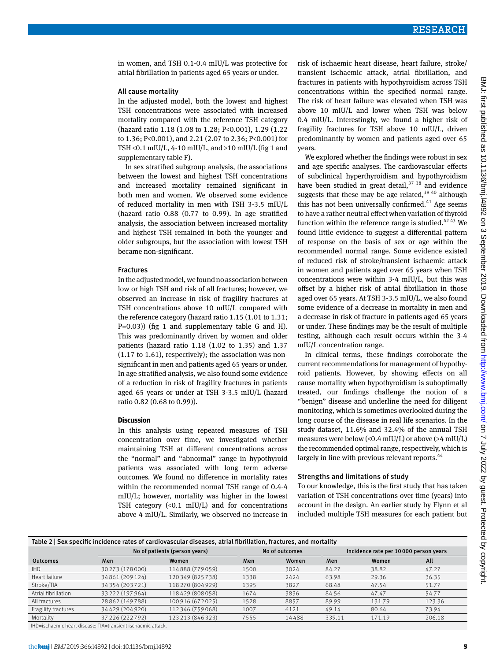in women, and TSH 0.1-0.4 mIU/L was protective for atrial fibrillation in patients aged 65 years or under.

#### All cause mortality

In the adjusted model, both the lowest and highest TSH concentrations were associated with increased mortality compared with the reference TSH category (hazard ratio 1.18 (1.08 to 1.28; P<0.001), 1.29 (1.22 to 1.36; P<0.001), and 2.21 (2.07 to 2.36; P<0.001) for TSH <0.1 mIU/L, 4-10 mIU/L, and >10 mIU/L (fig 1 and supplementary table F).

In sex stratified subgroup analysis, the associations between the lowest and highest TSH concentrations and increased mortality remained significant in both men and women. We observed some evidence of reduced mortality in men with TSH 3-3.5 mIU/L (hazard ratio 0.88 (0.77 to 0.99). In age stratified analysis, the association between increased mortality and highest TSH remained in both the younger and older subgroups, but the association with lowest TSH became non-significant.

#### Fractures

In the adjusted model, we found no association between low or high TSH and risk of all fractures; however, we observed an increase in risk of fragility fractures at TSH concentrations above 10 mIU/L compared with the reference category (hazard ratio 1.15 (1.01 to 1.31;  $P=0.03$ )) (fig 1 and supplementary table G and H). This was predominantly driven by women and older patients (hazard ratio 1.18 (1.02 to 1.35) and 1.37 (1.17 to 1.61), respectively); the association was nonsignificant in men and patients aged 65 years or under. In age stratified analysis, we also found some evidence of a reduction in risk of fragility fractures in patients aged 65 years or under at TSH 3-3.5 mIU/L (hazard ratio 0.82 (0.68 to 0.99)).

#### **Discussion**

In this analysis using repeated measures of TSH concentration over time, we investigated whether maintaining TSH at different concentrations across the "normal" and "abnormal" range in hypothyroid patients was associated with long term adverse outcomes. We found no difference in mortality rates within the recommended normal TSH range of 0.4-4 mIU/L; however, mortality was higher in the lowest TSH category  $( $0.1$  mIU/L) and for concentrations$ above 4 mIU/L. Similarly, we observed no increase in risk of ischaemic heart disease, heart failure, stroke/ transient ischaemic attack, atrial fibrillation, and fractures in patients with hypothyroidism across TSH concentrations within the specified normal range. The risk of heart failure was elevated when TSH was above 10 mIU/L and lower when TSH was below 0.4 mIU/L. Interestingly, we found a higher risk of fragility fractures for TSH above 10 mIU/L, driven predominantly by women and patients aged over 65 years.

We explored whether the findings were robust in sex and age specific analyses. The cardiovascular effects of subclinical hyperthyroidism and hypothyroidism have been studied in great detail,  $37 \frac{38}{3}$  and evidence suggests that these may be age related,  $39\,40$  although this has not been universally confirmed. $41$  Age seems to have a rather neutral effect when variation of thyroid function within the reference range is studied. $4243$  We found little evidence to suggest a differential pattern of response on the basis of sex or age within the recommended normal range. Some evidence existed of reduced risk of stroke/transient ischaemic attack in women and patients aged over 65 years when TSH concentrations were within 3-4 mIU/L, but this was offset by a higher risk of atrial fibrillation in those aged over 65 years. At TSH 3-3.5 mIU/L, we also found some evidence of a decrease in mortality in men and a decrease in risk of fracture in patients aged 65 years or under. These findings may be the result of multiple testing, although each result occurs within the 3-4 mIU/L concentration range.

In clinical terms, these findings corroborate the current recommendations for management of hypothyroid patients. However, by showing effects on all cause mortality when hypothyroidism is suboptimally treated, our findings challenge the notion of a "benign" disease and underline the need for diligent monitoring, which is sometimes overlooked during the long course of the disease in real life scenarios. In the study dataset, 11.6% and 32.4% of the annual TSH measures were below (< $0.4$  mIU/L) or above (> $4$  mIU/L) the recommended optimal range, respectively, which is largely in line with previous relevant reports.<sup>44</sup>

#### Strengths and limitations of study

To our knowledge, this is the first study that has taken variation of TSH concentrations over time (years) into account in the design. An earlier study by Flynn et al included multiple TSH measures for each patient but

| Table 2   Sex specific incidence rates of cardiovascular diseases, atrial fibrillation, fractures, and mortality |                               |                   |                |       |                                        |        |        |  |  |  |  |  |
|------------------------------------------------------------------------------------------------------------------|-------------------------------|-------------------|----------------|-------|----------------------------------------|--------|--------|--|--|--|--|--|
|                                                                                                                  | No of patients (person years) |                   | No of outcomes |       | Incidence rate per 10 000 person years |        |        |  |  |  |  |  |
| <b>Outcomes</b>                                                                                                  | Men                           | Women             | Men            | Women | Men                                    | Women  | All    |  |  |  |  |  |
| <b>IHD</b>                                                                                                       | 30 273 (178 000)              | 114888 (779059)   | 1500           | 3024  | 84.27                                  | 38.82  | 47.27  |  |  |  |  |  |
| Heart failure                                                                                                    | 34861 (209 124)               | 120349 (825738)   | 1338           | 2424  | 63.98                                  | 29.36  | 36.35  |  |  |  |  |  |
| Stroke/TIA                                                                                                       | 34354 (203721)                | 118 270 (804 929) | 1395           | 3827  | 68.48                                  | 47.54  | 51.77  |  |  |  |  |  |
| Atrial fibrillation                                                                                              | 33 222 (197 964)              | 118429 (808058)   | 1674           | 3836  | 84.56                                  | 47.47  | 54.77  |  |  |  |  |  |
| All fractures                                                                                                    | 28862 (169788)                | 100916 (672025)   | 1528           | 8857  | 89.99                                  | 131.79 | 123.36 |  |  |  |  |  |
| Fragility fractures                                                                                              | 34429 (204920)                | 112 346 (759 068) | 1007           | 6121  | 49.14                                  | 80.64  | 73.94  |  |  |  |  |  |
| Mortality                                                                                                        | 37 226 (222 792)              | 123 213 (846 323) | 7555           | 14488 | 339.11                                 | 171.19 | 206.18 |  |  |  |  |  |

IHD=ischaemic heart disease; TIA=transient ischaemic attack.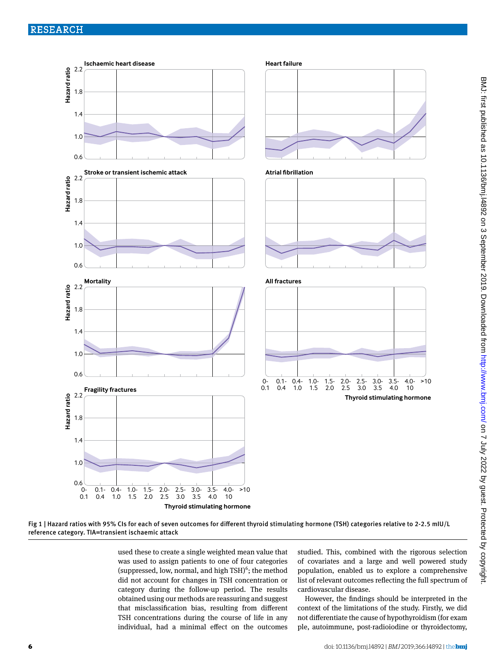



**Atrial fibrillation**





Fig 1 | Hazard ratios with 95% CIs for each of seven outcomes for different thyroid stimulating hormone (TSH) categories relative to 2-2.5 mIU/L reference category. TIA=transient ischaemic attack

> used these to create a single weighted mean value that was used to assign patients to one of four categories (suppressed, low, normal, and high  $TSH$ <sup>6</sup>; the method did not account for changes in TSH concentration or category during the follow-up period. The results obtained using our methods are reassuring and suggest that misclassification bias, resulting from different TSH concentrations during the course of life in any individual, had a minimal effect on the outcomes

studied. This, combined with the rigorous selection of covariates and a large and well powered study population, enabled us to explore a comprehensive list of relevant outcomes reflecting the full spectrum of cardiovascular disease.

However, the findings should be interpreted in the context of the limitations of the study. Firstly, we did not differentiate the cause of hypothyroidism (for exam ple, autoimmune, post-radioiodine or thyroidectomy,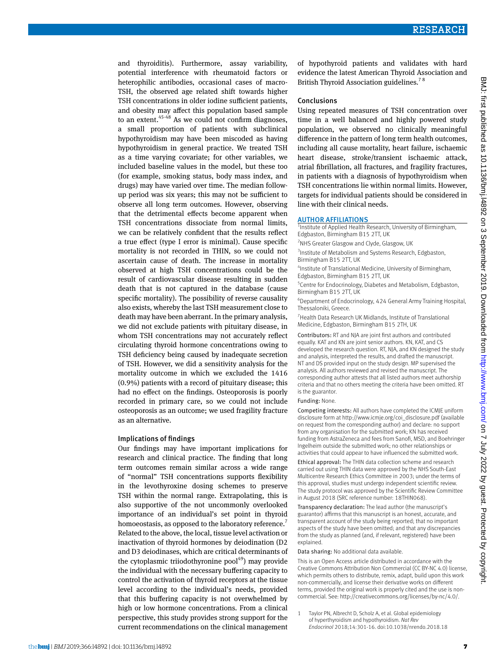and thyroiditis). Furthermore, assay variability, potential interference with rheumatoid factors or heterophilic antibodies, occasional cases of macro-TSH, the observed age related shift towards higher TSH concentrations in older iodine sufficient patients, and obesity may affect this population based sample to an extent. $45-48$  As we could not confirm diagnoses, a small proportion of patients with subclinical hypothyroidism may have been miscoded as having hypothyroidism in general practice. We treated TSH as a time varying covariate; for other variables, we included baseline values in the model, but these too (for example, smoking status, body mass index, and drugs) may have varied over time. The median followup period was six years; this may not be sufficient to observe all long term outcomes. However, observing that the detrimental effects become apparent when TSH concentrations dissociate from normal limits, we can be relatively confident that the results reflect a true effect (type I error is minimal). Cause specific mortality is not recorded in THIN, so we could not ascertain cause of death. The increase in mortality observed at high TSH concentrations could be the result of cardiovascular disease resulting in sudden death that is not captured in the database (cause specific mortality). The possibility of reverse causality also exists, whereby the last TSH measurement close to death may have been aberrant. In the primary analysis, we did not exclude patients with pituitary disease, in whom TSH concentrations may not accurately reflect circulating thyroid hormone concentrations owing to TSH deficiency being caused by inadequate secretion of TSH. However, we did a sensitivity analysis for the mortality outcome in which we excluded the 1416 (0.9%) patients with a record of pituitary disease; this had no effect on the findings. Osteoporosis is poorly recorded in primary care, so we could not include osteoporosis as an outcome; we used fragility fracture as an alternative.

#### Implications of findings

Our findings may have important implications for research and clinical practice. The finding that long term outcomes remain similar across a wide range of "normal" TSH concentrations supports flexibility in the levothyroxine dosing schemes to preserve TSH within the normal range. Extrapolating, this is also supportive of the not uncommonly overlooked importance of an individual's set point in thyroid homoeostasis, as opposed to the laboratory reference.<sup>7</sup> Related to the above, the local, tissue level activation or inactivation of thyroid hormones by deiodination (D2 and D3 deiodinases, which are critical determinants of the cytoplasmic triiodothyronine  $pool<sup>49</sup>$ ) may provide the individual with the necessary buffering capacity to control the activation of thyroid receptors at the tissue level according to the individual's needs, provided that this buffering capacity is not overwhelmed by high or low hormone concentrations. From a clinical perspective, this study provides strong support for the current recommendations on the clinical management of hypothyroid patients and validates with hard evidence the latest American Thyroid Association and British Thyroid Association guidelines.<sup>78</sup>

#### Conclusions

Using repeated measures of TSH concentration over time in a well balanced and highly powered study population, we observed no clinically meaningful difference in the pattern of long term health outcomes, including all cause mortality, heart failure, ischaemic heart disease, stroke/transient ischaemic attack, atrial fibrillation, all fractures, and fragility fractures, in patients with a diagnosis of hypothyroidism when TSH concentrations lie within normal limits. However, targets for individual patients should be considered in line with their clinical needs.

#### **AUTHOR AFFILIATIONS**

 $\frac{1}{1}$ Institute of Applied Health Research, University of Birmingham, Edgbaston, Birmingham B15 2TT, UK

<sup>2</sup>NHS Greater Glasgow and Clyde, Glasgow, UK

<sup>3</sup>Institute of Metabolism and Systems Research, Edgbaston, Birmingham B15 2TT, UK

4 Institute of Translational Medicine, University of Birmingham, Edgbaston, Birmingham B15 2TT, UK

<sup>5</sup> Centre for Endocrinology, Diabetes and Metabolism, Edgbaston, Birmingham B15 2TT, UK

6 Department of Endocrinology, 424 General Army Training Hospital, Thessaloniki, Greece.

7 Health Data Research UK Midlands, Institute of Translational Medicine, Edgbaston, Birmingham B15 2TH, UK

Contributors: RT and NJA are joint first authors and contributed equally. KAT and KN are joint senior authors. KN, KAT, and CS developed the research question. RT, NJA, and KN designed the study and analysis, interpreted the results, and drafted the manuscript. NT and DS provided input on the study design. MP supervised the analysis. All authors reviewed and revised the manuscript. The corresponding author attests that all listed authors meet authorship criteria and that no others meeting the criteria have been omitted. RT is the guarantor.

#### Funding: None.

Competing interests: All authors have completed the ICMJE uniform disclosure form at [http://www.icmje.org/coi\\_disclosure.pdf](http://www.icmje.org/coi_disclosure.pdf) (available on request from the corresponding author) and declare: no support from any organisation for the submitted work; KN has received funding from AstraZeneca and fees from Sanofi, MSD, and Boehringer Ingelheim outside the submitted work; no other relationships or activities that could appear to have influenced the submitted work.

Ethical approval: The THIN data collection scheme and research carried out using THIN data were approved by the NHS South-East Multicentre Research Ethics Committee in 2003; under the terms of this approval, studies must undergo independent scientific review. The study protocol was approved by the Scientific Review Committee in August 2018 (SRC reference number: 18THIN068).

Transparency declaration: The lead author (the manuscript's guarantor) affirms that this manuscript is an honest, accurate, and transparent account of the study being reported; that no important aspects of the study have been omitted; and that any discrepancies from the study as planned (and, if relevant, registered) have been explained.

#### Data sharing: No additional data available.

This is an Open Access article distributed in accordance with the Creative Commons Attribution Non Commercial (CC BY-NC 4.0) license, which permits others to distribute, remix, adapt, build upon this work non-commercially, and license their derivative works on different terms, provided the original work is properly cited and the use is noncommercial. See:<http://creativecommons.org/licenses/by-nc/4.0/>.

<sup>1</sup>  Taylor PN, Albrecht D, Scholz A, et al. Global epidemiology of hyperthyroidism and hypothyroidism. *Nat Rev Endocrinol* 2018;14:301-16. doi:10.1038/nrendo.2018.18